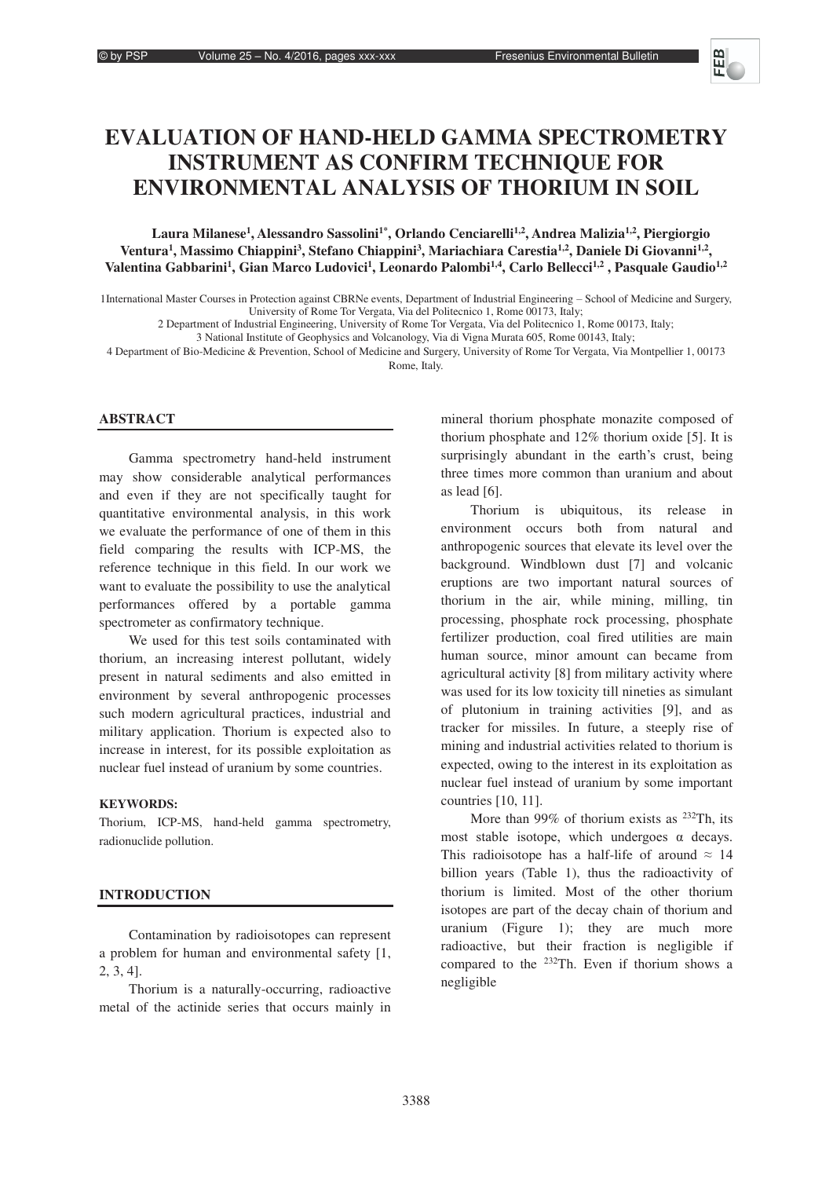# **EVALUATION OF HAND-HELD GAMMA SPECTROMETRY INSTRUMENT AS CONFIRM TECHNIQUE FOR ENVIRONMENTAL ANALYSIS OF THORIUM IN SOIL**

**Laura Milanese1 , Alessandro Sassolini1\*, Orlando Cenciarelli1,2, Andrea Malizia1,2, Piergiorgio**  Ventura<sup>1</sup>, Massimo Chiappini<sup>3</sup>, Stefano Chiappini<sup>3</sup>, Mariachiara Carestia<sup>1,2</sup>, Daniele Di Giovanni<sup>1,2</sup>, Valentina Gabbarini<sup>1</sup>, Gian Marco Ludovici<sup>1</sup>, Leonardo Palombi<sup>1,4</sup>, Carlo Bellecci<sup>1,2</sup>, Pasquale Gaudio<sup>1,2</sup>

1International Master Courses in Protection against CBRNe events, Department of Industrial Engineering - School of Medicine and Surgery, University of Rome Tor Vergata, Via del Politecnico 1, Rome 00173, Italy;

2 Department of Industrial Engineering, University of Rome Tor Vergata, Via del Politecnico 1, Rome 00173, Italy;

3 National Institute of Geophysics and Volcanology, Via di Vigna Murata 605, Rome 00143, Italy;

4 Department of Bio-Medicine & Prevention, School of Medicine and Surgery, University of Rome Tor Vergata, Via Montpellier 1, 00173 Rome, Italy.

# **ABSTRACT**

Gamma spectrometry hand-held instrument may show considerable analytical performances and even if they are not specifically taught for quantitative environmental analysis, in this work we evaluate the performance of one of them in this field comparing the results with ICP-MS, the reference technique in this field. In our work we want to evaluate the possibility to use the analytical performances offered by a portable gamma spectrometer as confirmatory technique.

We used for this test soils contaminated with thorium, an increasing interest pollutant, widely present in natural sediments and also emitted in environment by several anthropogenic processes such modern agricultural practices, industrial and military application. Thorium is expected also to increase in interest, for its possible exploitation as nuclear fuel instead of uranium by some countries.

# **KEYWORDS:**

Thorium, ICP-MS, hand-held gamma spectrometry, radionuclide pollution.

# **INTRODUCTION**

Contamination by radioisotopes can represent a problem for human and environmental safety [1, 2, 3, 4].

Thorium is a naturally-occurring, radioactive metal of the actinide series that occurs mainly in

mineral thorium phosphate monazite composed of thorium phosphate and 12% thorium oxide [5]. It is surprisingly abundant in the earth's crust, being three times more common than uranium and about as lead [6].

Thorium is ubiquitous, its release in environment occurs both from natural and anthropogenic sources that elevate its level over the background. Windblown dust [7] and volcanic eruptions are two important natural sources of thorium in the air, while mining, milling, tin processing, phosphate rock processing, phosphate fertilizer production, coal fired utilities are main human source, minor amount can became from agricultural activity [8] from military activity where was used for its low toxicity till nineties as simulant of plutonium in training activities [9], and as tracker for missiles. In future, a steeply rise of mining and industrial activities related to thorium is expected, owing to the interest in its exploitation as nuclear fuel instead of uranium by some important countries [10, 11].

More than 99% of thorium exists as <sup>232</sup>Th, its most stable isotope, which undergoes  $\alpha$  decays. This radioisotope has a half-life of around  $\approx 14$ billion years (Table 1), thus the radioactivity of thorium is limited. Most of the other thorium isotopes are part of the decay chain of thorium and uranium (Figure 1); they are much more radioactive, but their fraction is negligible if compared to the 232Th. Even if thorium shows a negligible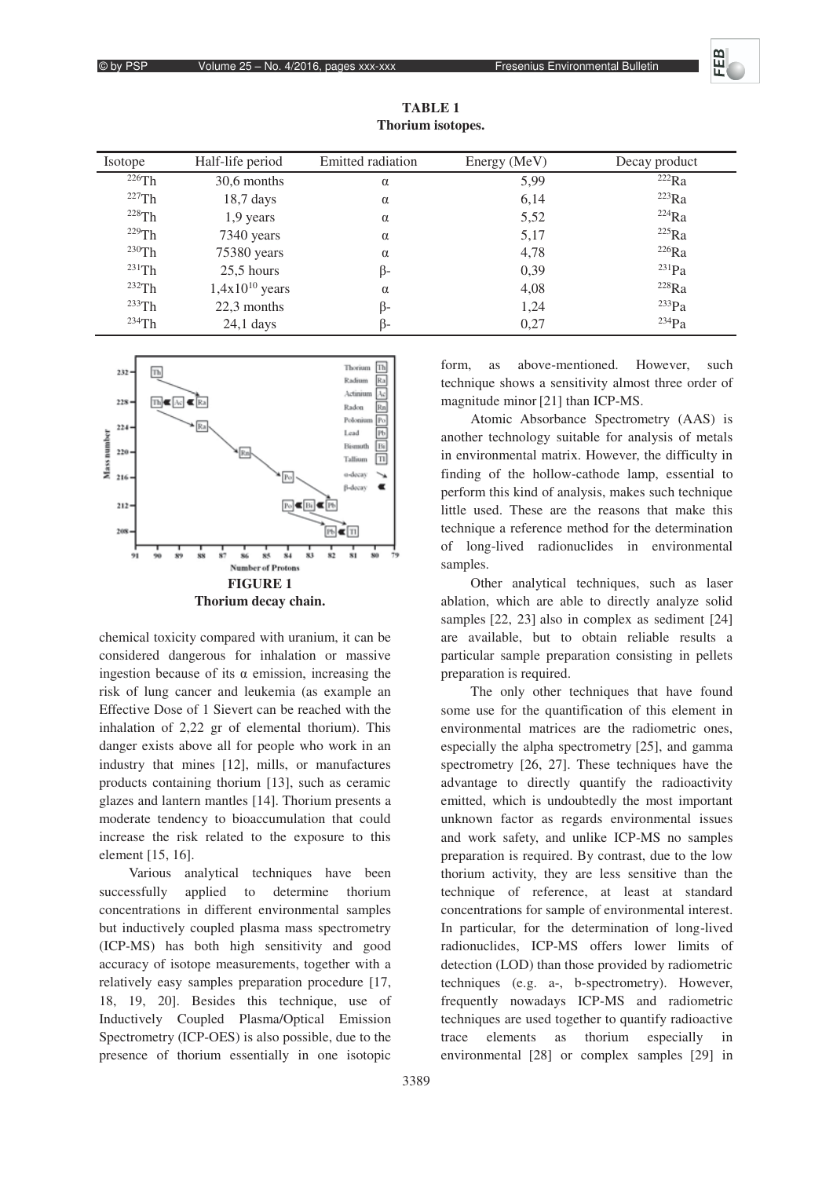#### © by PSP Volume 25 - No. 4/2016, pages xxx-xxx Fresenius Environmental Bulletin

| <i>I</i> sotope | Half-life period    | Emitted radiation | Energy (MeV) | Decay product |
|-----------------|---------------------|-------------------|--------------|---------------|
| 226Th           | 30,6 months         | $\alpha$          | 5,99         | 222Ra         |
| 227Th           | $18,7$ days         | $\alpha$          | 6,14         | $223$ Ra      |
| $228$ Th        | $1,9$ years         | $\alpha$          | 5,52         | 224Ra         |
| $229$ Th        | 7340 years          | $\alpha$          | 5,17         | 225Ra         |
| $230$ Th        | 75380 years         | $\alpha$          | 4,78         | 226Ra         |
| $231$ Th        | $25.5$ hours        | ß-                | 0,39         | $^{231}Pa$    |
| 232Th           | $1,4x10^{10}$ years | $\alpha$          | 4,08         | 228Ra         |
| $233$ Th        | 22,3 months         | ß-                | 1,24         | 233Pa         |
| $234$ Th        | $24,1$ days         | B-                | 0.27         | $234$ Pa      |

**TABLE 1 Thorium isotopes.** 



chemical toxicity compared with uranium, it can be considered dangerous for inhalation or massive ingestion because of its  $\alpha$  emission, increasing the risk of lung cancer and leukemia (as example an Effective Dose of 1 Sievert can be reached with the inhalation of 2,22 gr of elemental thorium). This danger exists above all for people who work in an industry that mines [12], mills, or manufactures products containing thorium [13], such as ceramic glazes and lantern mantles [14]. Thorium presents a moderate tendency to bioaccumulation that could increase the risk related to the exposure to this element [15, 16].

Various analytical techniques have been successfully applied to determine thorium concentrations in different environmental samples but inductively coupled plasma mass spectrometry (ICP-MS) has both high sensitivity and good accuracy of isotope measurements, together with a relatively easy samples preparation procedure [17, 18, 19, 20]. Besides this technique, use of Inductively Coupled Plasma/Optical Emission Spectrometry (ICP-OES) is also possible, due to the presence of thorium essentially in one isotopic

form, as above-mentioned. However, such technique shows a sensitivity almost three order of magnitude minor [21] than ICP-MS.

Atomic Absorbance Spectrometry (AAS) is another technology suitable for analysis of metals in environmental matrix. However, the difficulty in finding of the hollow-cathode lamp, essential to perform this kind of analysis, makes such technique little used. These are the reasons that make this technique a reference method for the determination of long-lived radionuclides in environmental samples.

Other analytical techniques, such as laser ablation, which are able to directly analyze solid samples [22, 23] also in complex as sediment [24] are available, but to obtain reliable results a particular sample preparation consisting in pellets preparation is required.

The only other techniques that have found some use for the quantification of this element in environmental matrices are the radiometric ones, especially the alpha spectrometry [25], and gamma spectrometry [26, 27]. These techniques have the advantage to directly quantify the radioactivity emitted, which is undoubtedly the most important unknown factor as regards environmental issues and work safety, and unlike ICP-MS no samples preparation is required. By contrast, due to the low thorium activity, they are less sensitive than the technique of reference, at least at standard concentrations for sample of environmental interest. In particular, for the determination of long-lived radionuclides, ICP-MS offers lower limits of detection (LOD) than those provided by radiometric techniques (e.g. a-, b-spectrometry). However, frequently nowadays ICP-MS and radiometric techniques are used together to quantify radioactive trace elements as thorium especially in environmental [28] or complex samples [29] in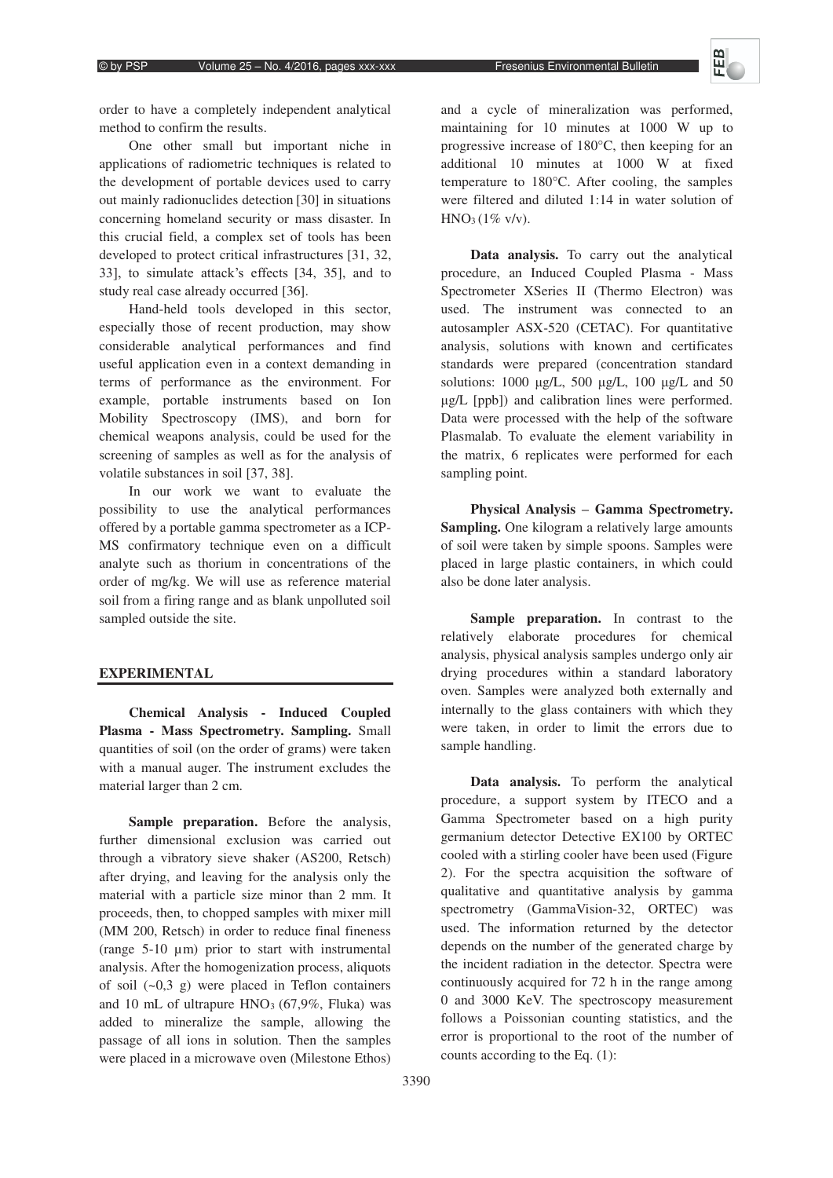order to have a completely independent analytical method to confirm the results.

One other small but important niche in applications of radiometric techniques is related to the development of portable devices used to carry out mainly radionuclides detection [30] in situations concerning homeland security or mass disaster. In this crucial field, a complex set of tools has been developed to protect critical infrastructures [31, 32, 33], to simulate attack's effects [34, 35], and to study real case already occurred [36].

Hand-held tools developed in this sector, especially those of recent production, may show considerable analytical performances and find useful application even in a context demanding in terms of performance as the environment. For example, portable instruments based on Ion Mobility Spectroscopy (IMS), and born for chemical weapons analysis, could be used for the screening of samples as well as for the analysis of volatile substances in soil [37, 38].

In our work we want to evaluate the possibility to use the analytical performances offered by a portable gamma spectrometer as a ICP-MS confirmatory technique even on a difficult analyte such as thorium in concentrations of the order of mg/kg. We will use as reference material soil from a firing range and as blank unpolluted soil sampled outside the site.

# **EXPERIMENTAL**

**Chemical Analysis - Induced Coupled Plasma - Mass Spectrometry. Sampling.** Small quantities of soil (on the order of grams) were taken with a manual auger. The instrument excludes the material larger than 2 cm.

**Sample preparation.** Before the analysis, further dimensional exclusion was carried out through a vibratory sieve shaker (AS200, Retsch) after drying, and leaving for the analysis only the material with a particle size minor than 2 mm. It proceeds, then, to chopped samples with mixer mill (MM 200, Retsch) in order to reduce final fineness (range 5-10 μm) prior to start with instrumental analysis. After the homogenization process, aliquots of soil  $(-0,3,9)$  were placed in Teflon containers and 10 mL of ultrapure  $HNO<sub>3</sub>$  (67,9%, Fluka) was added to mineralize the sample, allowing the passage of all ions in solution. Then the samples were placed in a microwave oven (Milestone Ethos)

and a cycle of mineralization was performed, maintaining for 10 minutes at 1000 W up to progressive increase of 180°C, then keeping for an additional 10 minutes at 1000 W at fixed temperature to 180°C. After cooling, the samples were filtered and diluted 1:14 in water solution of  $HNO<sub>3</sub>(1% v/v).$ 

**Data analysis.** To carry out the analytical procedure, an Induced Coupled Plasma - Mass Spectrometer XSeries II (Thermo Electron) was used. The instrument was connected to an autosampler ASX-520 (CETAC). For quantitative analysis, solutions with known and certificates standards were prepared (concentration standard solutions:  $1000 \mu g/L$ ,  $500 \mu g/L$ ,  $100 \mu g/L$  and  $50$ ȝg/L [ppb]) and calibration lines were performed. Data were processed with the help of the software Plasmalab. To evaluate the element variability in the matrix, 6 replicates were performed for each sampling point.

Physical Analysis – Gamma Spectrometry. **Sampling.** One kilogram a relatively large amounts of soil were taken by simple spoons. Samples were placed in large plastic containers, in which could also be done later analysis.

**Sample preparation.** In contrast to the relatively elaborate procedures for chemical analysis, physical analysis samples undergo only air drying procedures within a standard laboratory oven. Samples were analyzed both externally and internally to the glass containers with which they were taken, in order to limit the errors due to sample handling.

**Data analysis.** To perform the analytical procedure, a support system by ITECO and a Gamma Spectrometer based on a high purity germanium detector Detective EX100 by ORTEC cooled with a stirling cooler have been used (Figure 2). For the spectra acquisition the software of qualitative and quantitative analysis by gamma spectrometry (GammaVision-32, ORTEC) was used. The information returned by the detector depends on the number of the generated charge by the incident radiation in the detector. Spectra were continuously acquired for 72 h in the range among 0 and 3000 KeV. The spectroscopy measurement follows a Poissonian counting statistics, and the error is proportional to the root of the number of counts according to the Eq. (1):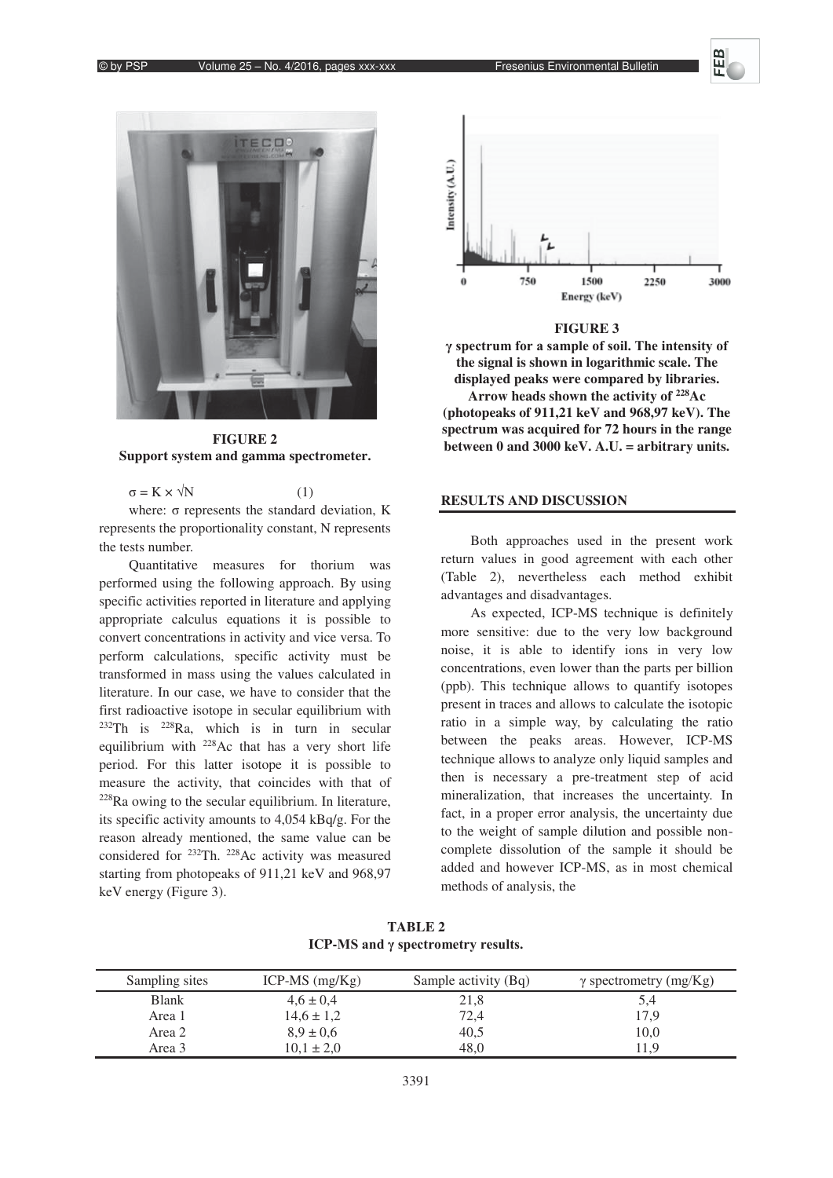



**FIGURE 2 Support system and gamma spectrometer.** 

 $\sigma = K \times \sqrt{N}$  (1)

where:  $\sigma$  represents the standard deviation, K represents the proportionality constant, N represents the tests number.

Quantitative measures for thorium was performed using the following approach. By using specific activities reported in literature and applying appropriate calculus equations it is possible to convert concentrations in activity and vice versa. To perform calculations, specific activity must be transformed in mass using the values calculated in literature. In our case, we have to consider that the first radioactive isotope in secular equilibrium with  $232$ Th is  $228$ Ra, which is in turn in secular equilibrium with 228Ac that has a very short life period. For this latter isotope it is possible to measure the activity, that coincides with that of  $228$ Ra owing to the secular equilibrium. In literature, its specific activity amounts to 4,054 kBq/g. For the reason already mentioned, the same value can be considered for 232Th. 228Ac activity was measured starting from photopeaks of 911,21 keV and 968,97 keV energy (Figure 3).



#### **FIGURE 3**

 $\gamma$  spectrum for a sample of soil. The intensity of **the signal is shown in logarithmic scale. The displayed peaks were compared by libraries.** 

**Arrow heads shown the activity of 228Ac (photopeaks of 911,21 keV and 968,97 keV). The spectrum was acquired for 72 hours in the range between 0 and 3000 keV. A.U. = arbitrary units.** 

# **RESULTS AND DISCUSSION**

Both approaches used in the present work return values in good agreement with each other (Table 2), nevertheless each method exhibit advantages and disadvantages.

As expected, ICP-MS technique is definitely more sensitive: due to the very low background noise, it is able to identify ions in very low concentrations, even lower than the parts per billion (ppb). This technique allows to quantify isotopes present in traces and allows to calculate the isotopic ratio in a simple way, by calculating the ratio between the peaks areas. However, ICP-MS technique allows to analyze only liquid samples and then is necessary a pre-treatment step of acid mineralization, that increases the uncertainty. In fact, in a proper error analysis, the uncertainty due to the weight of sample dilution and possible noncomplete dissolution of the sample it should be added and however ICP-MS, as in most chemical methods of analysis, the

**TABLE 2 ICP-MS** and γ spectrometry results.

| Sampling sites | ICP-MS $(mg/Kg)$ | Sample activity (Bq) | $\gamma$ spectrometry (mg/Kg) |
|----------------|------------------|----------------------|-------------------------------|
| <b>Blank</b>   | $4.6 \pm 0.4$    | 21,8                 | 5,4                           |
| Area 1         | $14.6 \pm 1.2$   | 72,4                 | 17,9                          |
| Area 2         | $8.9 \pm 0.6$    | 40,5                 | 10,0                          |
| Area 3         | $10.1 \pm 2.0$   | 48,0                 | 11,9                          |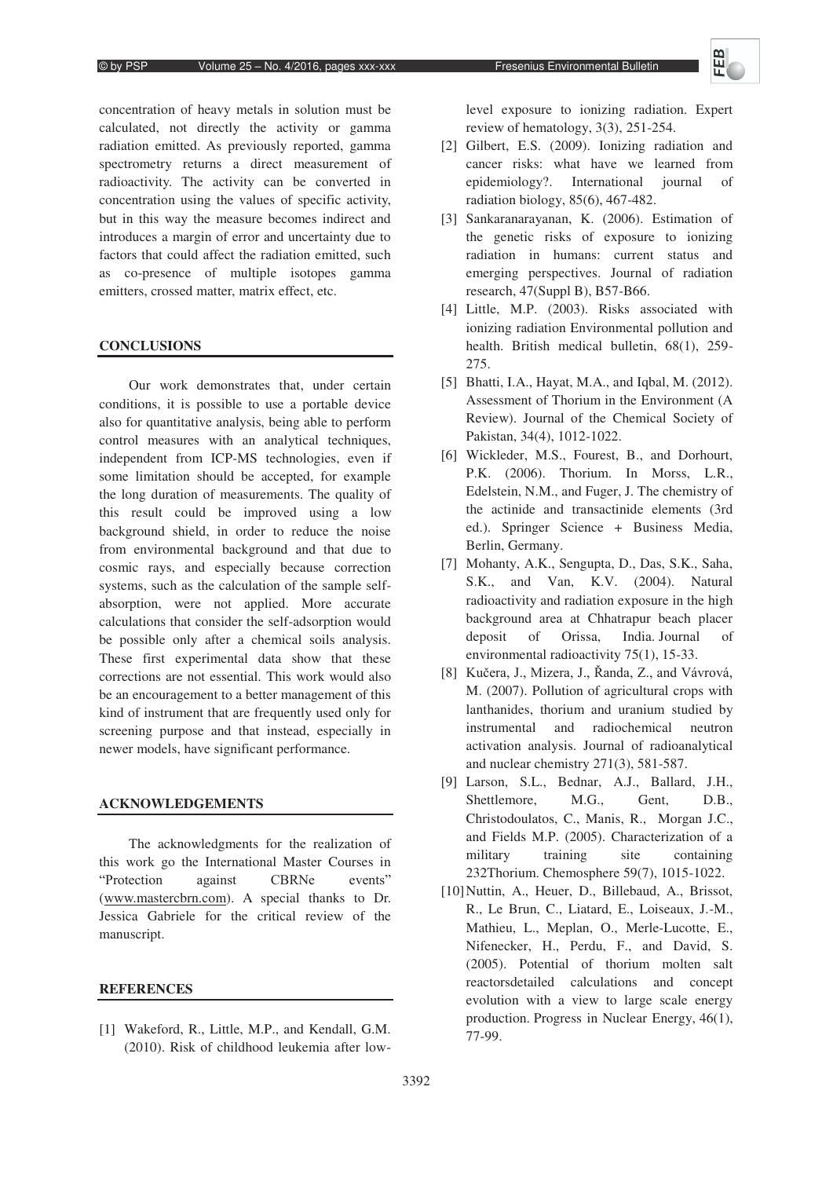concentration of heavy metals in solution must be calculated, not directly the activity or gamma radiation emitted. As previously reported, gamma spectrometry returns a direct measurement of radioactivity. The activity can be converted in concentration using the values of specific activity, but in this way the measure becomes indirect and introduces a margin of error and uncertainty due to factors that could affect the radiation emitted, such as co-presence of multiple isotopes gamma emitters, crossed matter, matrix effect, etc.

# **CONCLUSIONS**

Our work demonstrates that, under certain conditions, it is possible to use a portable device also for quantitative analysis, being able to perform control measures with an analytical techniques, independent from ICP-MS technologies, even if some limitation should be accepted, for example the long duration of measurements. The quality of this result could be improved using a low background shield, in order to reduce the noise from environmental background and that due to cosmic rays, and especially because correction systems, such as the calculation of the sample selfabsorption, were not applied. More accurate calculations that consider the self-adsorption would be possible only after a chemical soils analysis. These first experimental data show that these corrections are not essential. This work would also be an encouragement to a better management of this kind of instrument that are frequently used only for screening purpose and that instead, especially in newer models, have significant performance.

# **ACKNOWLEDGEMENTS**

The acknowledgments for the realization of this work go the International Master Courses in "Protection against CBRNe events" (www.mastercbrn.com). A special thanks to Dr. Jessica Gabriele for the critical review of the manuscript.

# **REFERENCES**

[1] Wakeford, R., Little, M.P., and Kendall, G.M. (2010). Risk of childhood leukemia after lowlevel exposure to ionizing radiation. Expert review of hematology, 3(3), 251-254.

- [2] Gilbert, E.S. (2009). Ionizing radiation and cancer risks: what have we learned from epidemiology?. International journal of radiation biology, 85(6), 467-482.
- [3] Sankaranarayanan, K. (2006). Estimation of the genetic risks of exposure to ionizing radiation in humans: current status and emerging perspectives. Journal of radiation research, 47(Suppl B), B57-B66.
- [4] Little, M.P. (2003). Risks associated with ionizing radiation Environmental pollution and health. British medical bulletin, 68(1), 259- 275.
- [5] Bhatti, I.A., Hayat, M.A., and Iqbal, M. (2012). Assessment of Thorium in the Environment (A Review). Journal of the Chemical Society of Pakistan, 34(4), 1012-1022.
- [6] Wickleder, M.S., Fourest, B., and Dorhourt, P.K. (2006). Thorium. In Morss, L.R., Edelstein, N.M., and Fuger, J. The chemistry of the actinide and transactinide elements (3rd ed.). Springer Science + Business Media, Berlin, Germany.
- [7] Mohanty, A.K., Sengupta, D., Das, S.K., Saha, S.K., and Van, K.V. (2004). Natural radioactivity and radiation exposure in the high background area at Chhatrapur beach placer deposit of Orissa, India. Journal of environmental radioactivity 75(1), 15-33.
- [8] Kučera, J., Mizera, J., Řanda, Z., and Vávrová, M. (2007). Pollution of agricultural crops with lanthanides, thorium and uranium studied by instrumental and radiochemical neutron activation analysis. Journal of radioanalytical and nuclear chemistry 271(3), 581-587.
- [9] Larson, S.L., Bednar, A.J., Ballard, J.H., Shettlemore, M.G., Gent, D.B., Christodoulatos, C., Manis, R., Morgan J.C., and Fields M.P. (2005). Characterization of a military training site containing 232Thorium. Chemosphere 59(7), 1015-1022.
- [10]Nuttin, A., Heuer, D., Billebaud, A., Brissot, R., Le Brun, C., Liatard, E., Loiseaux, J.-M., Mathieu, L., Meplan, O., Merle-Lucotte, E., Nifenecker, H., Perdu, F., and David, S. (2005). Potential of thorium molten salt reactorsdetailed calculations and concept evolution with a view to large scale energy production. Progress in Nuclear Energy, 46(1), 77-99.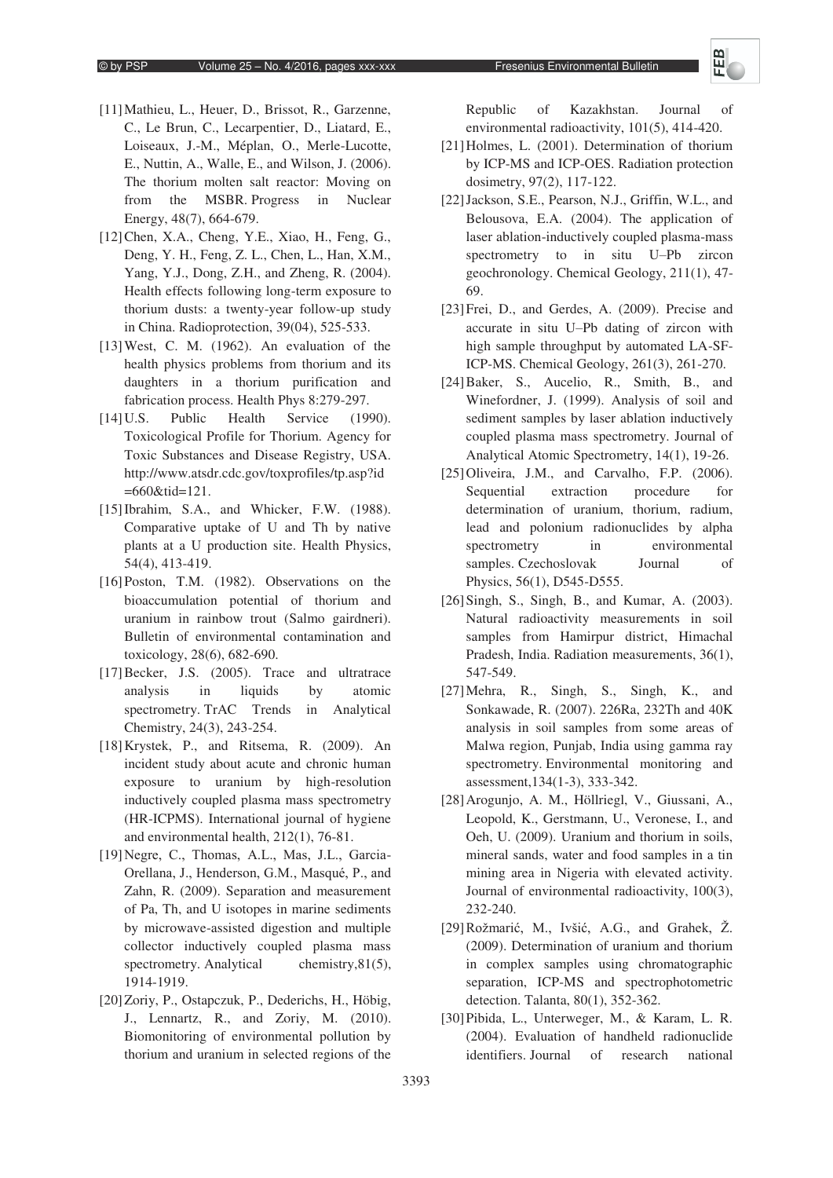- [11]Mathieu, L., Heuer, D., Brissot, R., Garzenne, C., Le Brun, C., Lecarpentier, D., Liatard, E., Loiseaux, J.-M., Méplan, O., Merle-Lucotte, E., Nuttin, A., Walle, E., and Wilson, J. (2006). The thorium molten salt reactor: Moving on from the MSBR. Progress in Nuclear Energy, 48(7), 664-679.
- [12]Chen, X.A., Cheng, Y.E., Xiao, H., Feng, G., Deng, Y. H., Feng, Z. L., Chen, L., Han, X.M., Yang, Y.J., Dong, Z.H., and Zheng, R. (2004). Health effects following long-term exposure to thorium dusts: a twenty-year follow-up study in China. Radioprotection, 39(04), 525-533.
- [13] West, C. M. (1962). An evaluation of the health physics problems from thorium and its daughters in a thorium purification and fabrication process. Health Phys 8:279-297.
- [14] U.S. Public Health Service (1990). Toxicological Profile for Thorium. Agency for Toxic Substances and Disease Registry, USA. http://www.atsdr.cdc.gov/toxprofiles/tp.asp?id =660&tid=121.
- [15] Ibrahim, S.A., and Whicker, F.W. (1988). Comparative uptake of U and Th by native plants at a U production site. Health Physics, 54(4), 413-419.
- [16]Poston, T.M. (1982). Observations on the bioaccumulation potential of thorium and uranium in rainbow trout (Salmo gairdneri). Bulletin of environmental contamination and toxicology, 28(6), 682-690.
- [17] Becker, J.S. (2005). Trace and ultratrace analysis in liquids by atomic spectrometry. TrAC Trends in Analytical Chemistry, 24(3), 243-254.
- [18]Krystek, P., and Ritsema, R. (2009). An incident study about acute and chronic human exposure to uranium by high-resolution inductively coupled plasma mass spectrometry (HR-ICPMS). International journal of hygiene and environmental health, 212(1), 76-81.
- [19]Negre, C., Thomas, A.L., Mas, J.L., Garcia-Orellana, J., Henderson, G.M., Masqué, P., and Zahn, R. (2009). Separation and measurement of Pa, Th, and U isotopes in marine sediments by microwave-assisted digestion and multiple collector inductively coupled plasma mass spectrometry. Analytical chemistry, 81(5), 1914-1919.
- [20]Zoriy, P., Ostapczuk, P., Dederichs, H., Höbig, J., Lennartz, R., and Zoriy, M. (2010). Biomonitoring of environmental pollution by thorium and uranium in selected regions of the

Republic of Kazakhstan. Journal of environmental radioactivity, 101(5), 414-420.

- [21]Holmes, L. (2001). Determination of thorium by ICP-MS and ICP-OES. Radiation protection dosimetry, 97(2), 117-122.
- [22]Jackson, S.E., Pearson, N.J., Griffin, W.L., and Belousova, E.A. (2004). The application of laser ablation-inductively coupled plasma-mass spectrometry to in situ U-Pb zircon geochronology. Chemical Geology, 211(1), 47- 69.
- [23]Frei, D., and Gerdes, A. (2009). Precise and accurate in situ U-Pb dating of zircon with high sample throughput by automated LA-SF-ICP-MS. Chemical Geology, 261(3), 261-270.
- [24]Baker, S., Aucelio, R., Smith, B., and Winefordner, J. (1999). Analysis of soil and sediment samples by laser ablation inductively coupled plasma mass spectrometry. Journal of Analytical Atomic Spectrometry, 14(1), 19-26.
- [25]Oliveira, J.M., and Carvalho, F.P. (2006). Sequential extraction procedure for determination of uranium, thorium, radium, lead and polonium radionuclides by alpha spectrometry in environmental samples. Czechoslovak Journal of Physics, 56(1), D545-D555.
- [26] Singh, S., Singh, B., and Kumar, A. (2003). Natural radioactivity measurements in soil samples from Hamirpur district, Himachal Pradesh, India. Radiation measurements, 36(1), 547-549.
- [27]Mehra, R., Singh, S., Singh, K., and Sonkawade, R. (2007). 226Ra, 232Th and 40K analysis in soil samples from some areas of Malwa region, Punjab, India using gamma ray spectrometry. Environmental monitoring and assessment,134(1-3), 333-342.
- [28]Arogunjo, A. M., Höllriegl, V., Giussani, A., Leopold, K., Gerstmann, U., Veronese, I., and Oeh, U. (2009). Uranium and thorium in soils, mineral sands, water and food samples in a tin mining area in Nigeria with elevated activity. Journal of environmental radioactivity, 100(3), 232-240.
- [29] Rožmarić, M., Ivšić, A.G., and Grahek, Ž. (2009). Determination of uranium and thorium in complex samples using chromatographic separation, ICP-MS and spectrophotometric detection. Talanta, 80(1), 352-362.
- [30]Pibida, L., Unterweger, M., & Karam, L. R. (2004). Evaluation of handheld radionuclide identifiers. Journal of research national